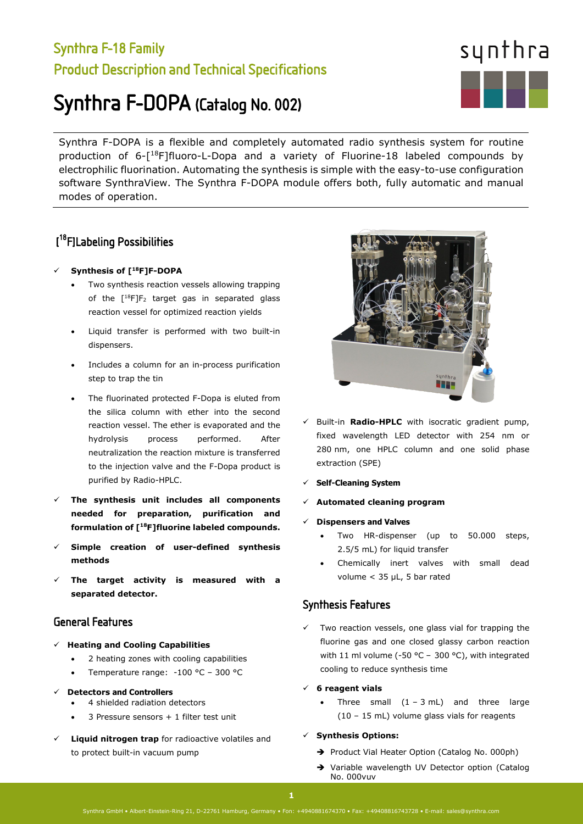## Synthra F-18 Family Product Description and Technical Specifications

# Synthra F-DOPA (Catalog No. 002)

Synthra F-DOPA is a flexible and completely automated radio synthesis system for routine production of 6-[18F]fluoro-L-Dopa and a variety of Fluorine-18 labeled compounds by electrophilic fluorination. Automating the synthesis is simple with the easy-to-use configuration software SynthraView. The Synthra F-DOPA module offers both, fully automatic and manual modes of operation.

## [ 18F]Labeling Possibilities

#### **Synthesis of [18F]F-DOPA**

- Two synthesis reaction vessels allowing trapping of the  $[^{18}F]F_2$  target gas in separated glass reaction vessel for optimized reaction yields
- Liquid transfer is performed with two built-in dispensers.
- Includes a column for an in-process purification step to trap the tin
- The fluorinated protected F-Dopa is eluted from the silica column with ether into the second reaction vessel. The ether is evaporated and the hydrolysis process performed. After neutralization the reaction mixture is transferred to the injection valve and the F-Dopa product is purified by Radio-HPLC.
- **The synthesis unit includes all components needed for preparation, purification and formulation of [18F]fluorine labeled compounds.**
- **Simple creation of user-defined synthesis methods**
- **The target activity is measured with a separated detector.**

#### General Features

- **Heating and Cooling Capabilities**
	- 2 heating zones with cooling capabilities
	- Temperature range: -100 °C 300 °C
- **Detectors and Controllers**
	- 4 shielded radiation detectors
	- 3 Pressure sensors + 1 filter test unit
- **Liquid nitrogen trap** for radioactive volatiles and to protect built-in vacuum pump

sunth<sub>r</sub> . . .  $\checkmark$  Built-in **Radio-HPLC** with isocratic gradient pump, fixed wavelength LED detector with 254 nm or 280 nm, one HPLC column and one solid phase

**Self-Cleaning System**

extraction (SPE)

- **Automated cleaning program**
- **Dispensers and Valves**
	- Two HR-dispenser (up to 50.000 steps, 2.5/5 mL) for liquid transfer
	- Chemically inert valves with small dead volume < 35 µL, 5 bar rated

#### Synthesis Features

 $\checkmark$  Two reaction vessels, one glass vial for trapping the fluorine gas and one closed glassy carbon reaction with 11 ml volume (-50 °C – 300 °C), with integrated cooling to reduce synthesis time

#### **6 reagent vials**

- Three small  $(1 3 mL)$  and three large (10 – 15 mL) volume glass vials for reagents
- **Synthesis Options:** 
	- → Product Vial Heater Option (Catalog No. 000ph)
	- → Variable wavelength UV Detector option (Catalog No. 000vuv